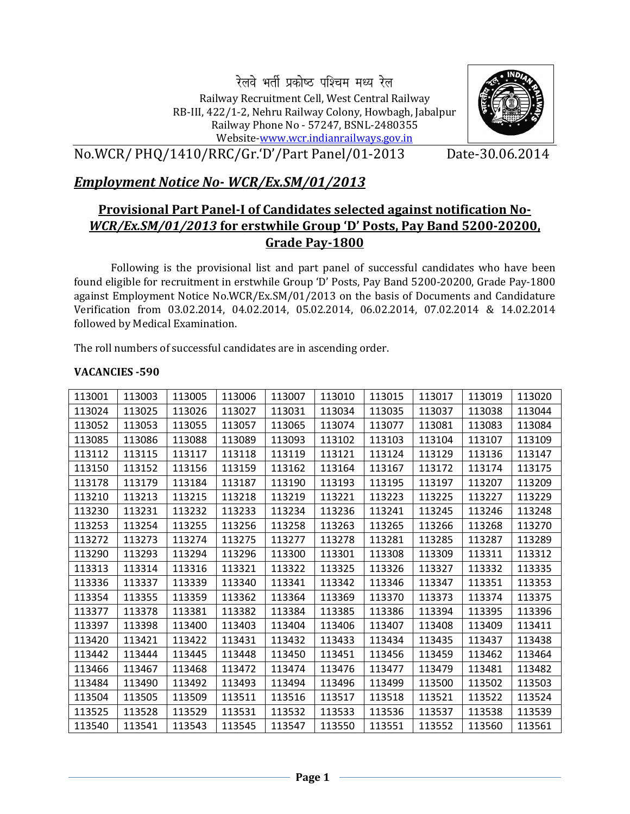रेलवे भर्ती प्रकोष्ठ पश्चिम मध्य रेल Railway Recruitment Cell, West Central Railway RB-III, 422/1-2, Nehru Railway Colony, Howbagh, Jabalpur Railway Phone No - 57247, BSNL-2480355 Website-www.wcr.indianrailways.gov.in

No.WCR/ PHQ/1410/RRC/Gr.'D'/Part Panel/01-2013 Date-30.06.2014

## *Employment Notice No- WCR/Ex.SM/01/2013*

## Provisional Part Panel-I of Candidates selected against notification No-*WCR/Ex.SM/01/2013* for erstwhile Group 'D' Posts, Pay Band 5200-20200, Grade Pay-1800

Following is the provisional list and part panel of successful candidates who have been found eligible for recruitment in erstwhile Group 'D' Posts, Pay Band 5200-20200, Grade Pay-1800 against Employment Notice No.WCR/Ex.SM/01/2013 on the basis of Documents and Candidature Verification from 03.02.2014, 04.02.2014, 05.02.2014, 06.02.2014, 07.02.2014 & 14.02.2014 followed by Medical Examination.

The roll numbers of successful candidates are in ascending order.

## VACANCIES -590

| 113001 | 113003 | 113005 | 113006 | 113007 | 113010 | 113015 | 113017 | 113019 | 113020 |
|--------|--------|--------|--------|--------|--------|--------|--------|--------|--------|
| 113024 | 113025 | 113026 | 113027 | 113031 | 113034 | 113035 | 113037 | 113038 | 113044 |
| 113052 | 113053 | 113055 | 113057 | 113065 | 113074 | 113077 | 113081 | 113083 | 113084 |
| 113085 | 113086 | 113088 | 113089 | 113093 | 113102 | 113103 | 113104 | 113107 | 113109 |
| 113112 | 113115 | 113117 | 113118 | 113119 | 113121 | 113124 | 113129 | 113136 | 113147 |
| 113150 | 113152 | 113156 | 113159 | 113162 | 113164 | 113167 | 113172 | 113174 | 113175 |
| 113178 | 113179 | 113184 | 113187 | 113190 | 113193 | 113195 | 113197 | 113207 | 113209 |
| 113210 | 113213 | 113215 | 113218 | 113219 | 113221 | 113223 | 113225 | 113227 | 113229 |
| 113230 | 113231 | 113232 | 113233 | 113234 | 113236 | 113241 | 113245 | 113246 | 113248 |
| 113253 | 113254 | 113255 | 113256 | 113258 | 113263 | 113265 | 113266 | 113268 | 113270 |
| 113272 | 113273 | 113274 | 113275 | 113277 | 113278 | 113281 | 113285 | 113287 | 113289 |
| 113290 | 113293 | 113294 | 113296 | 113300 | 113301 | 113308 | 113309 | 113311 | 113312 |
| 113313 | 113314 | 113316 | 113321 | 113322 | 113325 | 113326 | 113327 | 113332 | 113335 |
| 113336 | 113337 | 113339 | 113340 | 113341 | 113342 | 113346 | 113347 | 113351 | 113353 |
| 113354 | 113355 | 113359 | 113362 | 113364 | 113369 | 113370 | 113373 | 113374 | 113375 |
| 113377 | 113378 | 113381 | 113382 | 113384 | 113385 | 113386 | 113394 | 113395 | 113396 |
| 113397 | 113398 | 113400 | 113403 | 113404 | 113406 | 113407 | 113408 | 113409 | 113411 |
| 113420 | 113421 | 113422 | 113431 | 113432 | 113433 | 113434 | 113435 | 113437 | 113438 |
| 113442 | 113444 | 113445 | 113448 | 113450 | 113451 | 113456 | 113459 | 113462 | 113464 |
| 113466 | 113467 | 113468 | 113472 | 113474 | 113476 | 113477 | 113479 | 113481 | 113482 |
| 113484 | 113490 | 113492 | 113493 | 113494 | 113496 | 113499 | 113500 | 113502 | 113503 |
| 113504 | 113505 | 113509 | 113511 | 113516 | 113517 | 113518 | 113521 | 113522 | 113524 |
| 113525 | 113528 | 113529 | 113531 | 113532 | 113533 | 113536 | 113537 | 113538 | 113539 |
| 113540 | 113541 | 113543 | 113545 | 113547 | 113550 | 113551 | 113552 | 113560 | 113561 |